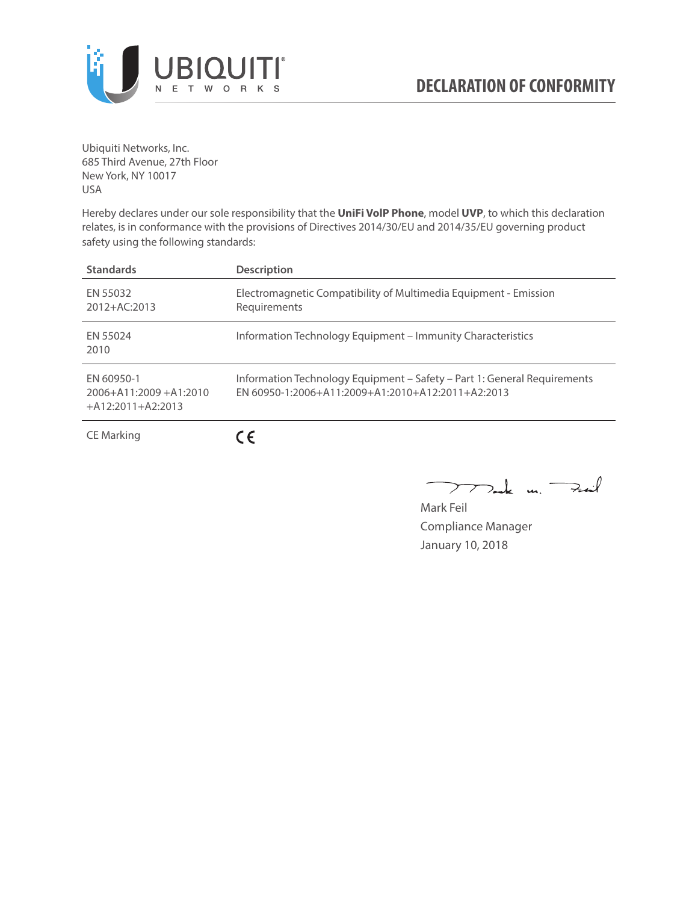

Ubiquiti Networks, Inc. 685 Third Avenue, 27th Floor New York, NY 10017 USA

Hereby declares under our sole responsibility that the **UniFi VolP Phone**, model **UVP**, to which this declaration relates, is in conformance with the provisions of Directives 2014/30/EU and 2014/35/EU governing product safety using the following standards:

| <b>Standards</b>                                                 | <b>Description</b>                                                                                                            |
|------------------------------------------------------------------|-------------------------------------------------------------------------------------------------------------------------------|
| EN 55032<br>$2012 + AC:2013$                                     | Electromagnetic Compatibility of Multimedia Equipment - Emission<br>Requirements                                              |
| EN 55024<br>2010                                                 | Information Technology Equipment - Immunity Characteristics                                                                   |
| EN 60950-1<br>$2006 + A11:2009 + A1:2010$<br>$+A12:2011+A2:2013$ | Information Technology Equipment - Safety - Part 1: General Requirements<br>FN 60950-1:2006+A11:2009+A1:2010+A12:2011+A2:2013 |
| CE Marking                                                       | $\epsilon$                                                                                                                    |

Tak un Fail  $\overline{\phantom{1}}$ 

Mark Feil Compliance Manager January 10, 2018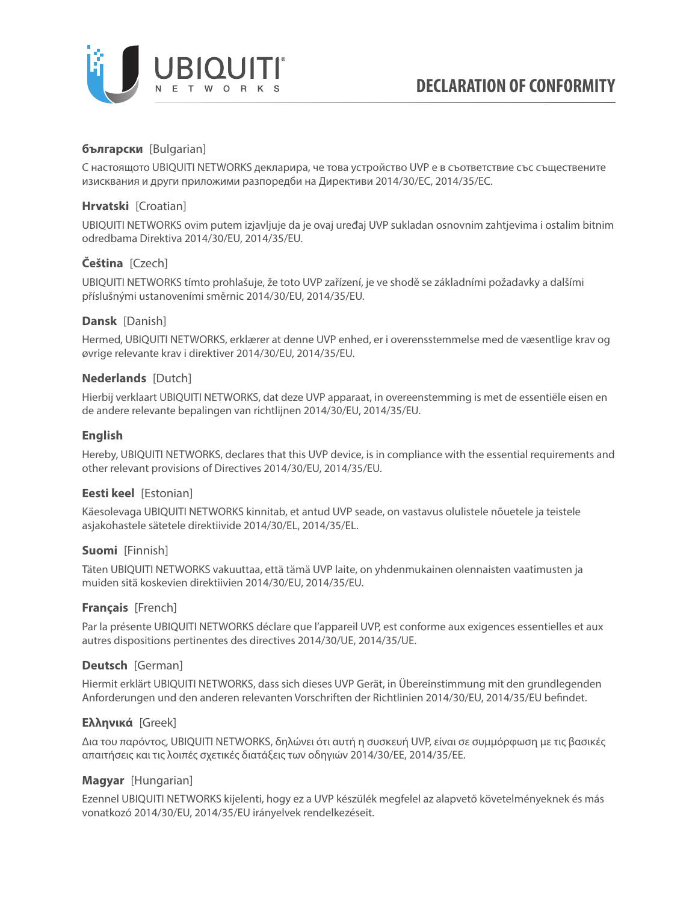

# **български** [Bulgarian]

С настоящото UBIQUITI NETWORKS декларира, че това устройство UVP е в съответствие със съществените изисквания и други приложими разпоредби на Директиви 2014/30/ЕС, 2014/35/ЕС.

### **Hrvatski** [Croatian]

UBIQUITI NETWORKS ovim putem izjavljuje da je ovaj uređaj UVP sukladan osnovnim zahtjevima i ostalim bitnim odredbama Direktiva 2014/30/EU, 2014/35/EU.

# **Čeština** [Czech]

UBIQUITI NETWORKS tímto prohlašuje, že toto UVP zařízení, je ve shodě se základními požadavky a dalšími příslušnými ustanoveními směrnic 2014/30/EU, 2014/35/EU.

### **Dansk** [Danish]

Hermed, UBIQUITI NETWORKS, erklærer at denne UVP enhed, er i overensstemmelse med de væsentlige krav og øvrige relevante krav i direktiver 2014/30/EU, 2014/35/EU.

### **Nederlands** [Dutch]

Hierbij verklaart UBIQUITI NETWORKS, dat deze UVP apparaat, in overeenstemming is met de essentiële eisen en de andere relevante bepalingen van richtlijnen 2014/30/EU, 2014/35/EU.

### **English**

Hereby, UBIQUITI NETWORKS, declares that this UVP device, is in compliance with the essential requirements and other relevant provisions of Directives 2014/30/EU, 2014/35/EU.

## **Eesti keel** [Estonian]

Käesolevaga UBIQUITI NETWORKS kinnitab, et antud UVP seade, on vastavus olulistele nõuetele ja teistele asjakohastele sätetele direktiivide 2014/30/EL, 2014/35/EL.

#### **Suomi** [Finnish]

Täten UBIQUITI NETWORKS vakuuttaa, että tämä UVP laite, on yhdenmukainen olennaisten vaatimusten ja muiden sitä koskevien direktiivien 2014/30/EU, 2014/35/EU.

#### **Français** [French]

Par la présente UBIQUITI NETWORKS déclare que l'appareil UVP, est conforme aux exigences essentielles et aux autres dispositions pertinentes des directives 2014/30/UE, 2014/35/UE.

## **Deutsch** [German]

Hiermit erklärt UBIQUITI NETWORKS, dass sich dieses UVP Gerät, in Übereinstimmung mit den grundlegenden Anforderungen und den anderen relevanten Vorschriften der Richtlinien 2014/30/EU, 2014/35/EU befindet.

## **Ελληνικά** [Greek]

Δια του παρόντος, UBIQUITI NETWORKS, δηλώνει ότι αυτή η συσκευή UVP, είναι σε συμμόρφωση με τις βασικές απαιτήσεις και τις λοιπές σχετικές διατάξεις των οδηγιών 2014/30/EE, 2014/35/EE.

## **Magyar** [Hungarian]

Ezennel UBIQUITI NETWORKS kijelenti, hogy ez a UVP készülék megfelel az alapvető követelményeknek és más vonatkozó 2014/30/EU, 2014/35/EU irányelvek rendelkezéseit.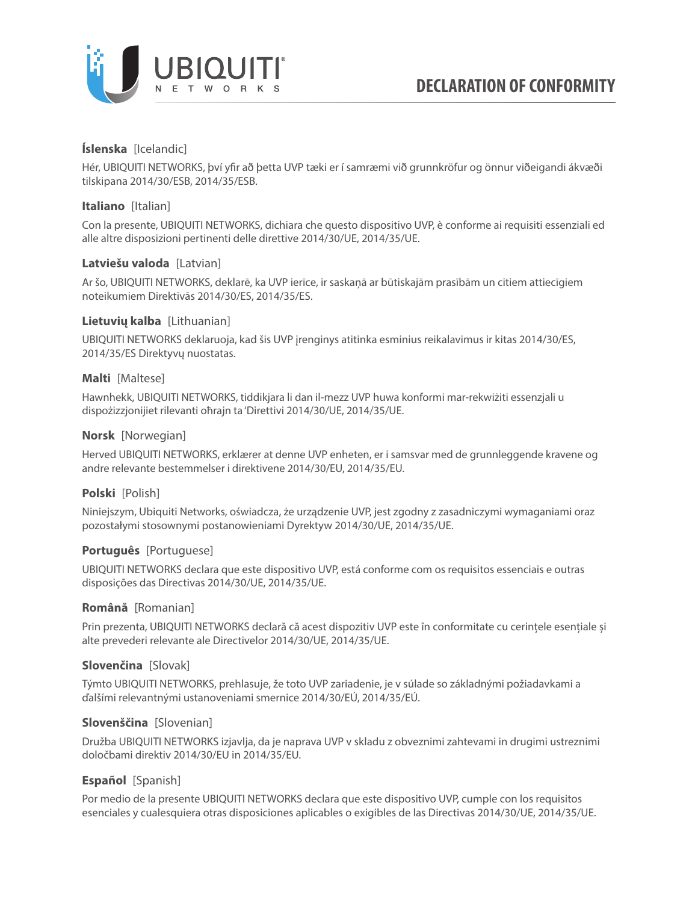

## **Íslenska** [Icelandic]

Hér, UBIQUITI NETWORKS, því yfir að þetta UVP tæki er í samræmi við grunnkröfur og önnur viðeigandi ákvæði tilskipana 2014/30/ESB, 2014/35/ESB.

### **Italiano** [Italian]

Con la presente, UBIQUITI NETWORKS, dichiara che questo dispositivo UVP, è conforme ai requisiti essenziali ed alle altre disposizioni pertinenti delle direttive 2014/30/UE, 2014/35/UE.

## **Latviešu valoda** [Latvian]

Ar šo, UBIQUITI NETWORKS, deklarē, ka UVP ierīce, ir saskaņā ar būtiskajām prasībām un citiem attiecīgiem noteikumiem Direktīvās 2014/30/ES, 2014/35/ES.

### **Lietuvių kalba** [Lithuanian]

UBIQUITI NETWORKS deklaruoja, kad šis UVP įrenginys atitinka esminius reikalavimus ir kitas 2014/30/ES, 2014/35/ES Direktyvų nuostatas.

### **Malti** [Maltese]

Hawnhekk, UBIQUITI NETWORKS, tiddikjara li dan il-mezz UVP huwa konformi mar-rekwiżiti essenzjali u dispożizzjonijiet rilevanti oħrajn ta 'Direttivi 2014/30/UE, 2014/35/UE.

### **Norsk** [Norwegian]

Herved UBIQUITI NETWORKS, erklærer at denne UVP enheten, er i samsvar med de grunnleggende kravene og andre relevante bestemmelser i direktivene 2014/30/EU, 2014/35/EU.

## **Polski** [Polish]

Niniejszym, Ubiquiti Networks, oświadcza, że urządzenie UVP, jest zgodny z zasadniczymi wymaganiami oraz pozostałymi stosownymi postanowieniami Dyrektyw 2014/30/UE, 2014/35/UE.

## **Português** [Portuguese]

UBIQUITI NETWORKS declara que este dispositivo UVP, está conforme com os requisitos essenciais e outras disposições das Directivas 2014/30/UE, 2014/35/UE.

#### **Română** [Romanian]

Prin prezenta, UBIQUITI NETWORKS declară că acest dispozitiv UVP este în conformitate cu cerințele esențiale și alte prevederi relevante ale Directivelor 2014/30/UE, 2014/35/UE.

## **Slovenčina** [Slovak]

Týmto UBIQUITI NETWORKS, prehlasuje, že toto UVP zariadenie, je v súlade so základnými požiadavkami a ďalšími relevantnými ustanoveniami smernice 2014/30/EÚ, 2014/35/EÚ.

#### **Slovenščina** [Slovenian]

Družba UBIQUITI NETWORKS izjavlja, da je naprava UVP v skladu z obveznimi zahtevami in drugimi ustreznimi določbami direktiv 2014/30/EU in 2014/35/EU.

## **Español** [Spanish]

Por medio de la presente UBIQUITI NETWORKS declara que este dispositivo UVP, cumple con los requisitos esenciales y cualesquiera otras disposiciones aplicables o exigibles de las Directivas 2014/30/UE, 2014/35/UE.